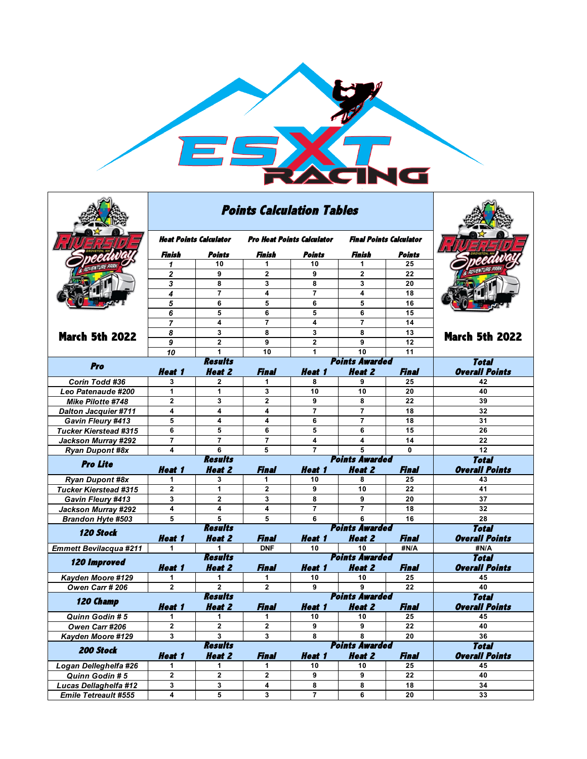

|                                         |                         | <b>Points Calculation Tables</b> |                                   |                         |                                |                    |                             |
|-----------------------------------------|-------------------------|----------------------------------|-----------------------------------|-------------------------|--------------------------------|--------------------|-----------------------------|
|                                         | Heat Points Calculator  |                                  | <b>Pro Heat Points Calculator</b> |                         | <b>Final Points Calculator</b> |                    |                             |
|                                         | Finish                  | Points                           | Finish                            | Points                  | Finish                         | Points             |                             |
|                                         | 1                       | 10                               | 1                                 | 10                      | 1                              | 25                 |                             |
|                                         | $\overline{2}$          | 9                                | $\overline{2}$                    | 9                       | $\overline{2}$                 | 22                 |                             |
|                                         | 3                       | 8                                | 3                                 | 8                       | 3                              | 20                 |                             |
|                                         | 4                       | 7                                | 4                                 | $\overline{7}$          | 4                              | 18                 |                             |
|                                         | 5                       | 6                                | 5                                 | 6                       | 5                              | 16                 |                             |
|                                         | 6                       | 5                                | 6                                 | 5                       | 6                              | 15                 |                             |
|                                         | 7                       | 4                                | $\overline{7}$                    | $\overline{\mathbf{4}}$ | $\overline{7}$                 | 14                 |                             |
| <b>March 5th 2022</b>                   | 8                       | 3                                | 8                                 | 3                       | 8                              | 13                 | <b>March 5th 2022</b>       |
|                                         | 9                       | $\overline{2}$                   | 9                                 | $\mathbf{2}$            | 9                              | 12                 |                             |
|                                         | 10                      | 1                                | 10                                | 1                       | 10                             | 11                 |                             |
| Pro                                     |                         | <b>Results</b>                   | <b>Points Awarded</b>             | <b>Total</b>            |                                |                    |                             |
|                                         | <b>Heat 1</b>           | <b>Heat 2</b>                    | Final                             | <i><b>Heat 1</b></i>    | <b>Heat 2</b>                  | Final              | <b>Overall Points</b>       |
| Corin Todd #36                          | 3                       | $\mathbf{2}$                     | 1                                 | 8                       | 9                              | 25                 | 42                          |
| Leo Patenaude #200                      | 1                       | 1                                | 3                                 | 10                      | 10                             | 20                 | 40                          |
| <b>Mike Pilotte #748</b>                | $\overline{2}$          | 3                                | $\overline{2}$                    | 9                       | 8                              | 22                 | 39                          |
| <b>Dalton Jacquier #711</b>             | 4                       | 4                                | 4                                 | $\overline{7}$          | $\overline{7}$                 | 18                 | 32                          |
| Gavin Fleury #413                       | 5                       | 4                                | 4                                 | 6                       | $\overline{7}$                 | 18                 | 31                          |
| <b>Tucker Kierstead #315</b>            | 6                       | 5                                | 6                                 | 5                       | 6                              | 15                 | 26                          |
| Jackson Murray #292                     | $\overline{7}$          | $\overline{7}$                   | $\overline{7}$                    | 4                       | 4                              | 14                 | 22                          |
| <b>Ryan Dupont #8x</b>                  | 4                       | 6                                | 5                                 | $\overline{7}$          | 5<br><b>Points Awarded</b>     | $\bf{0}$           | 12                          |
| <b>Pro Lite</b>                         |                         | <b>Results</b>                   | <b>Total</b>                      |                         |                                |                    |                             |
|                                         | Heat 1                  | <b>Heat 2</b>                    | <b>Final</b>                      | Heat 1                  | <b>Heat 2</b>                  | <b>Final</b>       | <b>Overall Points</b>       |
| <b>Ryan Dupont #8x</b>                  | 1                       | 3                                | 1.                                | 10                      | 8                              | 25                 | 43                          |
|                                         |                         |                                  |                                   |                         |                                |                    |                             |
| <b>Tucker Kierstead #315</b>            | 2                       | 1                                | $\mathbf{2}$                      | 9                       | 10                             | 22                 | 41                          |
| Gavin Fleury #413                       | 3                       | $\overline{2}$                   | 3                                 | 8                       | 9                              | 20                 | 37                          |
| Jackson Murray #292                     | 4                       | 4                                | 4                                 | $\overline{7}$          | $\overline{7}$                 | 18                 | 32                          |
| <b>Brandon Hyte #503</b>                | 5                       | 5                                | 5                                 | 6                       | 6                              | 16                 | 28                          |
| 120 Stock                               |                         | <b>Results</b>                   |                                   |                         | <b>Points Awarded</b>          |                    | <b>Total</b>                |
|                                         | <b>Heat 1</b>           | <b>Heat 2</b>                    | Final                             | <b>Heat 1</b>           | <b>Heat 2</b>                  | Final              | <b>Overall Points</b>       |
| <b>Emmett Bevilacqua #211</b>           | 1                       | 1                                | <b>DNF</b>                        | 10                      | 10                             | #N/A               | #N/A                        |
| <b>120 Improved</b>                     |                         | <b>Results</b>                   |                                   |                         | <b>Points Awarded</b>          |                    | <b>Total</b>                |
|                                         | Heat 1                  | <b>Heat 2</b>                    | Final                             | <b>Heat 1</b>           | <b>Heat 2</b>                  | Final              | <b>Overall Points</b>       |
| Kayden Moore #129                       | 1                       | 1                                | 1                                 | 10                      | 10                             | 25                 | 45                          |
| Owen Carr # 206                         | $\overline{2}$          | $\overline{2}$                   | $\overline{2}$                    | 9                       | 9                              | 22                 | 40                          |
| 120 Champ                               |                         | <b>Results</b>                   |                                   |                         | <b>Points Awarded</b>          |                    | <b>Total</b>                |
|                                         | <b>Heat 1</b>           | <b>Heat 2</b>                    | <b>Final</b>                      | <b>Heat 1</b>           | <b>Heat 2</b>                  | Final              | <b>Overall Points</b>       |
| <b>Quinn Godin #5</b>                   | 1                       | 1                                | 1                                 | 10                      | 10                             | 25                 | 45                          |
| <b>Owen Carr #206</b>                   | 2<br>3                  | 2<br>3                           | 2<br>3                            | 9<br>8                  | 9<br>8                         | 22<br>20           | 40                          |
| Kayden Moore #129                       |                         |                                  |                                   |                         |                                |                    | 36                          |
| 200 Stock                               |                         | <b>Results</b>                   |                                   |                         | <b>Points Awarded</b>          |                    | <b>Total</b>                |
|                                         | <b>Heat 1</b><br>1      | <b>Heat 2</b><br>1               | <b>Final</b><br>1                 | Heat 1<br>10            | <b>Heat 2</b><br>10            | <b>Final</b><br>25 | <b>Overall Points</b><br>45 |
| Logan Delleghelfa #26<br>Quinn Godin #5 | $\overline{\mathbf{2}}$ | $\overline{\mathbf{2}}$          | $\mathbf 2$                       | 9                       | 9                              | 22                 | 40                          |
| Lucas Dellaghelfa #12                   | 3                       | 3                                | 4                                 | 8                       | 8                              | 18                 | 34                          |